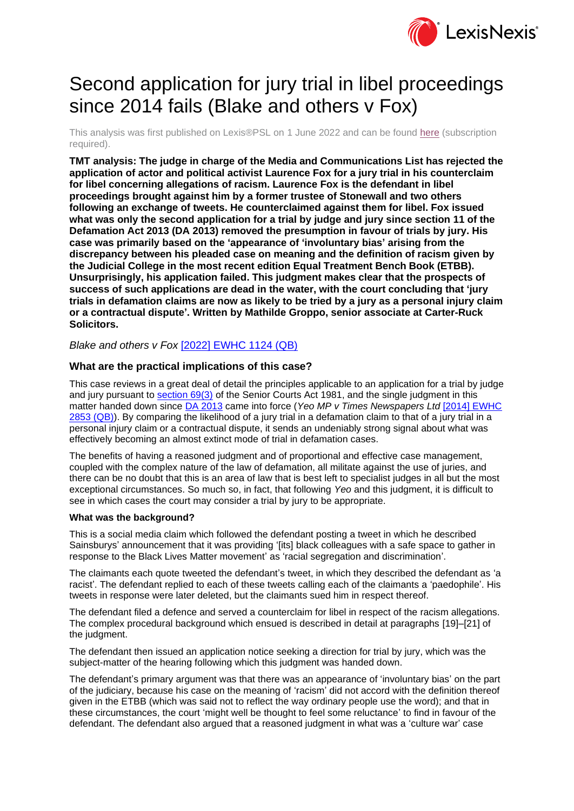

# Second application for jury trial in libel proceedings since 2014 fails (Blake and others v Fox)

This analysis was first published on Lexis®PSL on 1 June 2022 and can be found [here](https://www.lexisnexis.com/uk/lexispsl/disputeresolution/document/412012/65KD-2NN3-GXF6-8025-00000-00?utm_source=psl_da_mkt&utm_medium=referral&utm_campaign=second-application-for-jury-trial-in-libel-proceedings-since-2014-fails-(blake-and-others-v-fox)) (subscription required).

**TMT analysis: The judge in charge of the Media and Communications List has rejected the application of actor and political activist Laurence Fox for a jury trial in his counterclaim for libel concerning allegations of racism. Laurence Fox is the defendant in libel proceedings brought against him by a former trustee of Stonewall and two others following an exchange of tweets. He counterclaimed against them for libel. Fox issued what was only the second application for a trial by judge and jury since section 11 of the Defamation Act 2013 (DA 2013) removed the presumption in favour of trials by jury. His case was primarily based on the 'appearance of 'involuntary bias' arising from the discrepancy between his pleaded case on meaning and the definition of racism given by the Judicial College in the most recent edition Equal Treatment Bench Book (ETBB). Unsurprisingly, his application failed. This judgment makes clear that the prospects of success of such applications are dead in the water, with the court concluding that 'jury trials in defamation claims are now as likely to be tried by a jury as a personal injury claim or a contractual dispute'. Written by Mathilde Groppo, senior associate at Carter-Ruck Solicitors.**

*Blake and others v Fox* [\[2022\] EWHC 1124 \(QB\)](https://www.lexisnexis.com/uk/lexispsl/disputeresolution/citationlinkHandler.faces?bct=A&service=citation&risb=&EWHCQB&$sel1!%252022%25$year!%252022%25$page!%251124%25)

### **What are the practical implications of this case?**

This case reviews in a great deal of detail the principles applicable to an application for a trial by judge and jury pursuant to [section 69\(3\)](https://www.lexisnexis.com/uk/lexispsl/disputeresolution/citationlinkHandler.faces?bct=A&service=citation&risb=&UK_LEG&$num!%251981_54a_SECT_69%25) of the Senior Courts Act 1981, and the single judgment in this matter handed down since [DA 2013](https://www.lexisnexis.com/uk/lexispsl/disputeresolution/citationlinkHandler.faces?bct=A&service=citation&risb=&UK_LEG&$num!%252013_26a_Title%25) came into force (*Yeo MP v Times Newspapers Ltd* [\[2014\] EWHC](https://www.lexisnexis.com/uk/lexispsl/disputeresolution/citationlinkHandler.faces?bct=A&service=citation&risb=&EWHCQB&$sel1!%252014%25$year!%252014%25$page!%252853%25)  [2853 \(QB\)\)](https://www.lexisnexis.com/uk/lexispsl/disputeresolution/citationlinkHandler.faces?bct=A&service=citation&risb=&EWHCQB&$sel1!%252014%25$year!%252014%25$page!%252853%25). By comparing the likelihood of a jury trial in a defamation claim to that of a jury trial in a personal injury claim or a contractual dispute, it sends an undeniably strong signal about what was effectively becoming an almost extinct mode of trial in defamation cases.

The benefits of having a reasoned judgment and of proportional and effective case management, coupled with the complex nature of the law of defamation, all militate against the use of juries, and there can be no doubt that this is an area of law that is best left to specialist judges in all but the most exceptional circumstances. So much so, in fact, that following *Yeo* and this judgment, it is difficult to see in which cases the court may consider a trial by jury to be appropriate.

#### **What was the background?**

This is a social media claim which followed the defendant posting a tweet in which he described Sainsburys' announcement that it was providing '[its] black colleagues with a safe space to gather in response to the Black Lives Matter movement' as 'racial segregation and discrimination'.

The claimants each quote tweeted the defendant's tweet, in which they described the defendant as 'a racist'. The defendant replied to each of these tweets calling each of the claimants a 'paedophile'. His tweets in response were later deleted, but the claimants sued him in respect thereof.

The defendant filed a defence and served a counterclaim for libel in respect of the racism allegations. The complex procedural background which ensued is described in detail at paragraphs [19]–[21] of the judgment.

The defendant then issued an application notice seeking a direction for trial by jury, which was the subject-matter of the hearing following which this judgment was handed down.

The defendant's primary argument was that there was an appearance of 'involuntary bias' on the part of the judiciary, because his case on the meaning of 'racism' did not accord with the definition thereof given in the ETBB (which was said not to reflect the way ordinary people use the word); and that in these circumstances, the court 'might well be thought to feel some reluctance' to find in favour of the defendant. The defendant also argued that a reasoned judgment in what was a 'culture war' case